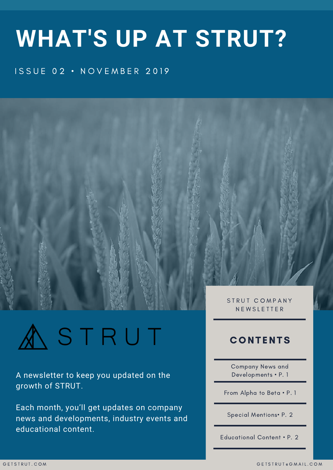# **WHAT'S UP AT STRUT?**

#### **ISSUE 02 · NOVEMBER 2019**



STRUT

A newsletter to keep you updated on the growth of STRUT.

Each month, you'll get updates on company news and developments, industry events and educational content.

N E W S L E T T E R

#### **CONTENTS**

Company News and Developments • P. 1

From Alpha to Beta • P. 1

Special Mentions• P. 2

Educational Content • P. 2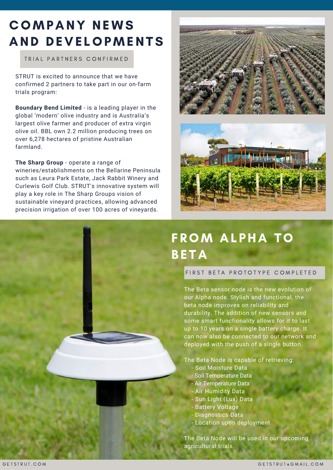### COMPANY NEWS AND DEVELOPMENTS

#### TRIAL PARTNERS CONFIRMED

STRUT is excited to announce that we have confirmed 2 partners to take part in our on-farm trials program:

**Boundary Bend Limited** - is a leading player in the global 'modern' olive industry and is Australia's largest olive farmer and producer of extra virgin olive oil. BBL own 2.2 million producing trees on over 6,278 hectares of pristine Australian farmland.

#### **The Sharp Group** - operate a range of

wineries/establishments on the Bellarine Peninsula such as Leura Park Estate, Jack Rabbit Winery and Curlewis Golf Club. STRUT's innovative system will play a key role in The Sharp Groups vision of sustainable vineyard practices, allowing advanced precision irrigation of over 100 acres of vineyards.





# FROM ALPHA TO **BETA**

FIRST BETA PROTOTYPE COMPLETED

The Beta sensor node is the new evolution of our Alpha node. Stylish and functional, the beta node improves on reliability and durability. The addition of new sensors and some smart functionality allows for it to last up to 10 years on a single battery charge. It can now also be connected to our network and deployed with the push of a single button.

#### The Beta Node is capable of retrieving:

- Soil Moisture Data
- Soil Temperature Data
- Air Temperature Data
	- Air Humidity Data
- Sun Light (Lux) Data
- Battery Voltage
- Diagnostics Data
- Location upon deployment

The Beta Node will be used in our upcoming agricultural trials.